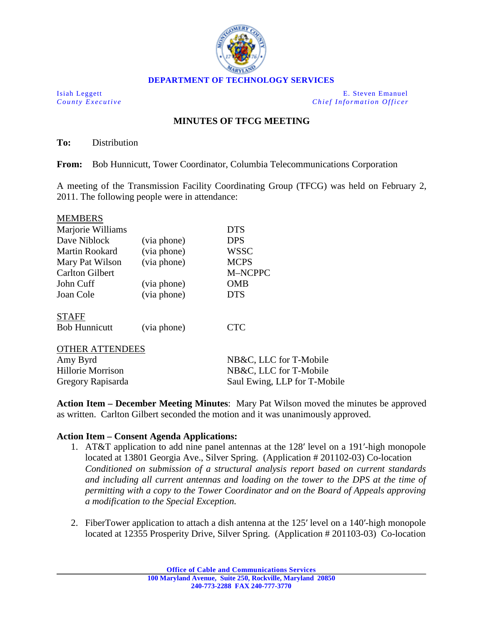

Isiah Leggett E. Steven Emanuel *County Executive Chief Information Officer*

## **MINUTES OF TFCG MEETING**

**To:** Distribution

**From:** Bob Hunnicutt, Tower Coordinator, Columbia Telecommunications Corporation

A meeting of the Transmission Facility Coordinating Group (TFCG) was held on February 2, 2011. The following people were in attendance:

| <b>MEMBERS</b>         |             |             |  |
|------------------------|-------------|-------------|--|
| Marjorie Williams      |             | <b>DTS</b>  |  |
| Dave Niblock           | (via phone) | <b>DPS</b>  |  |
| Martin Rookard         | (via phone) | <b>WSSC</b> |  |
| Mary Pat Wilson        | (via phone) | <b>MCPS</b> |  |
| <b>Carlton Gilbert</b> |             | M-NCPPC     |  |
| John Cuff              | (via phone) | OMB         |  |
| Joan Cole              | (via phone) | <b>DTS</b>  |  |
| <b>STAFF</b>           |             |             |  |
| <b>Bob Hunnicutt</b>   | (via phone) | <b>CTC</b>  |  |
| A TTENIN               |             |             |  |

| NB&C, LLC for T-Mobile       |
|------------------------------|
| NB&C, LLC for T-Mobile       |
| Saul Ewing, LLP for T-Mobile |
|                              |

**Action Item – December Meeting Minutes**: Mary Pat Wilson moved the minutes be approved as written. Carlton Gilbert seconded the motion and it was unanimously approved.

## **Action Item – Consent Agenda Applications:**

- 1. AT&T application to add nine panel antennas at the 128′ level on a 191′-high monopole located at 13801 Georgia Ave., Silver Spring. (Application # 201102-03) Co-location *Conditioned on submission of a structural analysis report based on current standards and including all current antennas and loading on the tower to the DPS at the time of permitting with a copy to the Tower Coordinator and on the Board of Appeals approving a modification to the Special Exception.*
- 2. FiberTower application to attach a dish antenna at the 125′ level on a 140′-high monopole located at 12355 Prosperity Drive, Silver Spring. (Application # 201103-03) Co-location